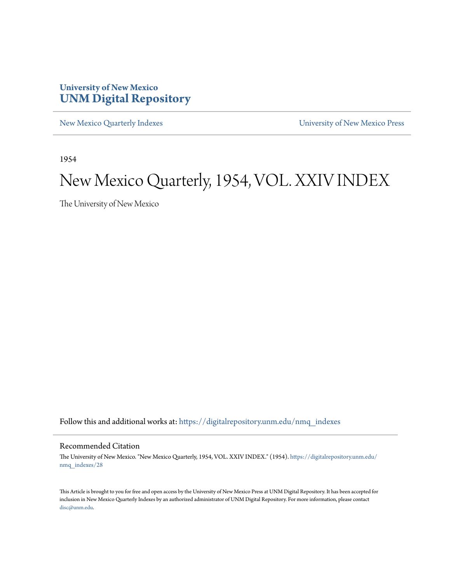#### **University of New Mexico [UNM Digital Repository](https://digitalrepository.unm.edu?utm_source=digitalrepository.unm.edu%2Fnmq_indexes%2F28&utm_medium=PDF&utm_campaign=PDFCoverPages)**

[New Mexico Quarterly Indexes](https://digitalrepository.unm.edu/nmq_indexes?utm_source=digitalrepository.unm.edu%2Fnmq_indexes%2F28&utm_medium=PDF&utm_campaign=PDFCoverPages) [University of New Mexico Press](https://digitalrepository.unm.edu/press?utm_source=digitalrepository.unm.edu%2Fnmq_indexes%2F28&utm_medium=PDF&utm_campaign=PDFCoverPages)

1954

### New Mexico Quarterly, 1954, VOL. XXIV INDEX

The University of New Mexico

Follow this and additional works at: [https://digitalrepository.unm.edu/nmq\\_indexes](https://digitalrepository.unm.edu/nmq_indexes?utm_source=digitalrepository.unm.edu%2Fnmq_indexes%2F28&utm_medium=PDF&utm_campaign=PDFCoverPages)

#### Recommended Citation

The University of New Mexico. "New Mexico Quarterly, 1954, VOL. XXIV INDEX." (1954). [https://digitalrepository.unm.edu/](https://digitalrepository.unm.edu/nmq_indexes/28?utm_source=digitalrepository.unm.edu%2Fnmq_indexes%2F28&utm_medium=PDF&utm_campaign=PDFCoverPages) [nmq\\_indexes/28](https://digitalrepository.unm.edu/nmq_indexes/28?utm_source=digitalrepository.unm.edu%2Fnmq_indexes%2F28&utm_medium=PDF&utm_campaign=PDFCoverPages)

This Article is brought to you for free and open access by the University of New Mexico Press at UNM Digital Repository. It has been accepted for inclusion in New Mexico Quarterly Indexes by an authorized administrator of UNM Digital Repository. For more information, please contact [disc@unm.edu](mailto:disc@unm.edu).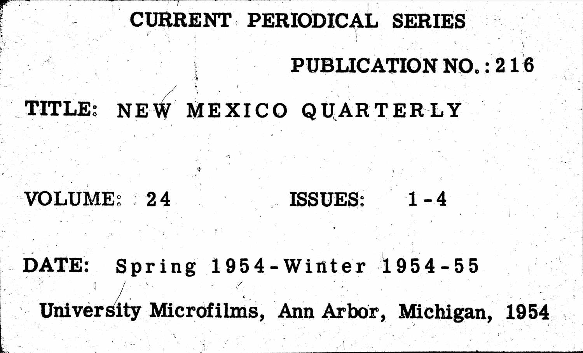# TITLE: NEW MEXICO QUARTERLY

## VOLUME: 24

Spring 1954-Winter 1954-55 DATE:

University Microfilms, Ann Arbor, Michigan, 1954

# CURRENT PERIODICAL SERIES

# PUBLICATION NO.: 216

## ISSUES: 1-4

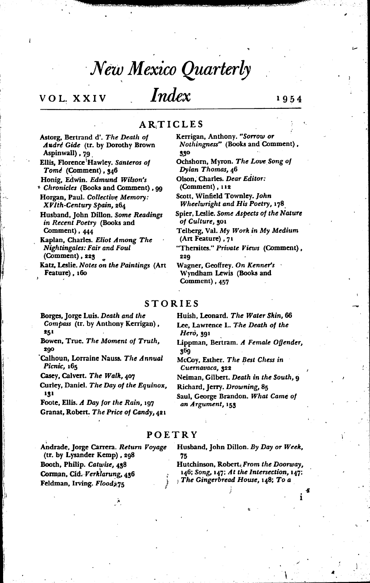### New Mexico Quarterly

#### VOL. XXIV

### Index

#### ARTICLES

Astorg, Bertrand d'. The Death of Audre Gide (tr. by Dorothy Brown Aspinwall), 79

Ellis, Florence Hawley. Santeros of Tome (Comment), 346

Honig, Edwin. Edmund Wilson's Chronicles (Books and Comment), 99

Horgan, Paul. Collective Memory: XVIth-Century Spain, 264

Husband, John Dillon. Some Readings in Recent Poetry (Books and Comment), 444

Kaplan, Charles. Eliot Among The Nightingales: Fair and Foul (Comment), 223

Katz, Leslie. Notes on the Paintings (Art Feature), 160

Kerrigan, Anthony. "Sorrow or Nothingness" (Books and Comment). 330

Ochshorn, Myron. The Love Song of Dylan Thomas, 46

Olson, Charles. Dear Editor: (Comment), 112

Scott, Winfield Townley. John Wheelwright and His Poetry, 178

Spier, Leslie. Some Aspects of the Nature of Culture, 301

Telberg, Val. My Work in My Medium (Art Feature), 71

"Thersites." Private Views (Comment), 220

Wagner, Geoffrey. On Kenner's Wyndham Lewis (Books and Comment), 457

#### **STORIES**

Borges, Jorge Luis. Death and the Compass (tr. by Anthony Kerrigan), 251

Bowen, True. The Moment of Truth, 290

Calhoun, Lorraine Nauss. The Annual Picnic, 165

Casey, Calvert. The Walk, 407

Curley, Daniel. The Day of the Equinox, 131

Foote, Ellis. A Day for the Rain, 197 Granat, Robert. The Price of Candy, 421 Huish, Leonard. The Water Skin, 66 Lee, Lawrence L. The Death of the Herò, 391

Lippman, Bertram. A Female Offender, 369

McCoy, Esther. The Best Chess in Cuernavaca, 322

Neiman, Gilbert, Death in the South, o Richard, Jerry. Drowning, 85

Saul, George Brandon. What Came of an Argument, 153

#### POETRY

Andrade, Jorge Carrera. Return Voyage (tr. by Lysander Kemp), 298 Booth, Philip. Catwise, 438 Corman, Cid. Verklarung, 436 Feldman, Irving. Flood,75

Husband, John Dillon. By Day or Week, 75

Hutchinson, Robert, From the Doorway, 146; Song, 147; At the Intersection, 147; The Gingerbread House, 148; To a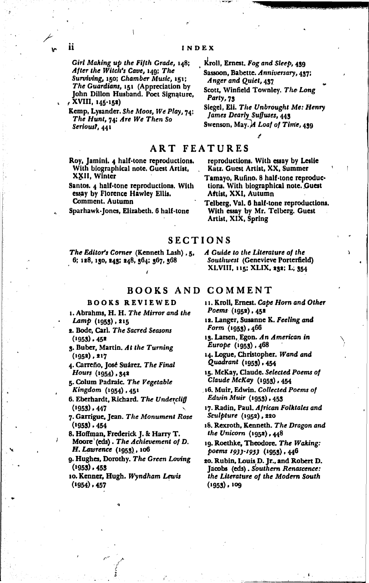Girl Making up the Fifth Grade, 148; After the Witch's Cave, 149; The Surviving, 150; Chamber Music, 181; The Guardians, 151 (Appreciation by John Dillon Husband. Poet Signature, , XVIII, 145-152)

Kemp, Lysander. She Moos, We Play, 74; The Hunt, 74; Are We Then So Serious?, 441

Roy, Jamini. 4 half-tone reproductions. With biographical note. Guest Artist, XXII, Winter

Santos. 4 half-tone reproductions. With essay by Florence Hawley Ellis. **Comment. Autumn** 

Sparhawk-Jones, Elizabeth. 6 half-tone

#### INDEX

Kroll, Ernest. Fog and Sleep, 439

Sassoon, Babette. Anniversary, 437; Anger and Quiet, 437

Scott, Winfield Townley. The Long Party, 73

Siegel, Eli. The Unbrought Me: Henry James Dearly Suffuses, 443

Swenson, May.  $\cal{M}$  Loaf of Time, 439

#### **ART FEATURES**

reproductions. With essay by Leslie Katz. Guest Artist, XX, Summer

Tamayo, Rufino, 8 half-tone reproductions. With biographical note. Guest Attist, XXI, Autumn

Telberg, Val. 6 half-tone reproductions. With essay by Mr. Telberg. Guest Artist, XIX, Spring

#### **SECTIONS**

The Editor's Corner (Kenneth Lash), 5. 6; 128, 130, 243; 248, 364; 367, 368

**BOOKS AND COMMENT** 

#### **BOOKS REVIEWED**

- 1. Abrahms, H. H. The Mirror and the Lamp (1953), 215
- 2. Bode, Carl. The Sacred Seasons  $(1953)$ , 452
- 3. Buber, Martin. At the Turning  $(1952), 217$

4. Carreño, José Suárez. The Final Hours (1954), 342

5. Colum Padraic. The Vegetable Kingdom (1954), 451

6. Eberhardt, Richard. The Undercliff  $(1953)$ , 447

7. Garrigue, Jean. The Monument Rose  $(1953) . 454$ 

8. Hoffman, Frederick J. & Harry T. Moore'(eds). The Achievement of D. H. Lawrence (1953), 106

9. Hughes, Dorothy. The Green Loving  $(1953)$ , 453

10. Kenner, Hugh. Wyndham Lewis  $(1954)$ , 457

A Guide to the Literature of the Southwest (Genevieve Porterfield) XLVIII, 115; XLIX, 232; L; 354

11. Kroll, Ernest. Cape Horn and Other Poems (1952), 452

- 12. Langer, Susanne K. Feeling and Form  $(1955)$ ,  $466$
- 13. Larsen, Egon. An American in Europe (1953), 468

14. Logue, Christopher. Wand and Quadrant (1953) , 454

15. McKay, Claude. Selected Poems of Claude McKay (1953), 454

- 16. Muir, Edwin. Collected Poems of Edwin Muir (1953) . 453
- 17. Radin, Paul, African Folktales and Sculpture (1952), 220
- 18. Rexroth, Kenneth. The Dragon and the Unicorn (1952), 448
- 19. Roethke, Theodore. The Waking: poems 1933-1953 (1953), 446

20. Rubin, Louis D. Jr., and Robert D. Jacobs (eds). Southern Renascence: the Literature of the Modern South  $(1953), 109$